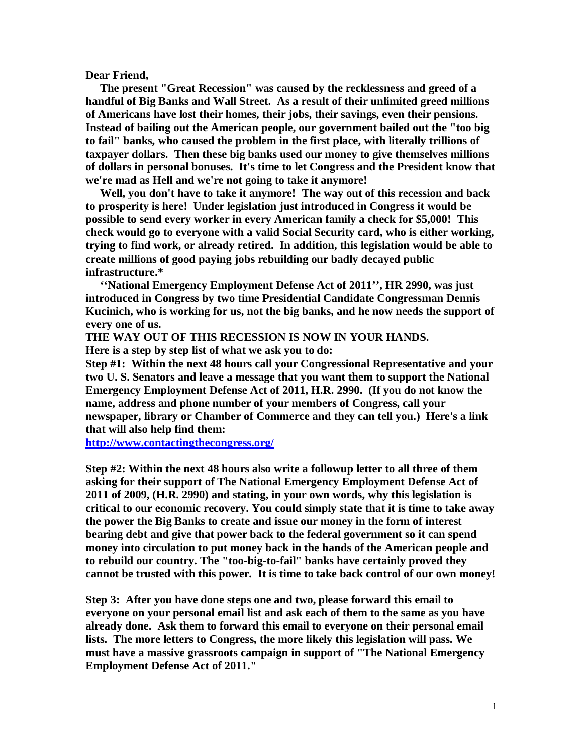**Dear Friend,** 

 **The present "Great Recession" was caused by the recklessness and greed of a handful of Big Banks and Wall Street. As a result of their unlimited greed millions of Americans have lost their homes, their jobs, their savings, even their pensions. Instead of bailing out the American people, our government bailed out the "too big to fail" banks, who caused the problem in the first place, with literally trillions of taxpayer dollars. Then these big banks used our money to give themselves millions of dollars in personal bonuses. It's time to let Congress and the President know that we're mad as Hell and we're not going to take it anymore!** 

 **Well, you don't have to take it anymore! The way out of this recession and back to prosperity is here! Under legislation just introduced in Congress it would be possible to send every worker in every American family a check for \$5,000! This check would go to everyone with a valid Social Security card, who is either working, trying to find work, or already retired. In addition, this legislation would be able to create millions of good paying jobs rebuilding our badly decayed public infrastructure.\*** 

 **''National Emergency Employment Defense Act of 2011'', HR 2990, was just introduced in Congress by two time Presidential Candidate Congressman Dennis Kucinich, who is working for us, not the big banks, and he now needs the support of every one of us.** 

**THE WAY OUT OF THIS RECESSION IS NOW IN YOUR HANDS.** 

**Here is a step by step list of what we ask you to do:** 

**Step #1: Within the next 48 hours call your Congressional Representative and your two U. S. Senators and leave a message that you want them to support the National Emergency Employment Defense Act of 2011, H.R. 2990. (If you do not know the name, address and phone number of your members of Congress, call your newspaper, library or Chamber of Commerce and they can tell you.) Here's a link that will also help find them:** 

**<http://www.contactingthecongress.org/>**

**Step #2: Within the next 48 hours also write a followup letter to all three of them asking for their support of The National Emergency Employment Defense Act of 2011 of 2009, (H.R. 2990) and stating, in your own words, why this legislation is critical to our economic recovery. You could simply state that it is time to take away the power the Big Banks to create and issue our money in the form of interest bearing debt and give that power back to the federal government so it can spend money into circulation to put money back in the hands of the American people and to rebuild our country. The "too-big-to-fail" banks have certainly proved they cannot be trusted with this power. It is time to take back control of our own money!** 

**Step 3: After you have done steps one and two, please forward this email to everyone on your personal email list and ask each of them to the same as you have already done. Ask them to forward this email to everyone on their personal email lists. The more letters to Congress, the more likely this legislation will pass. We must have a massive grassroots campaign in support of "The National Emergency Employment Defense Act of 2011."**